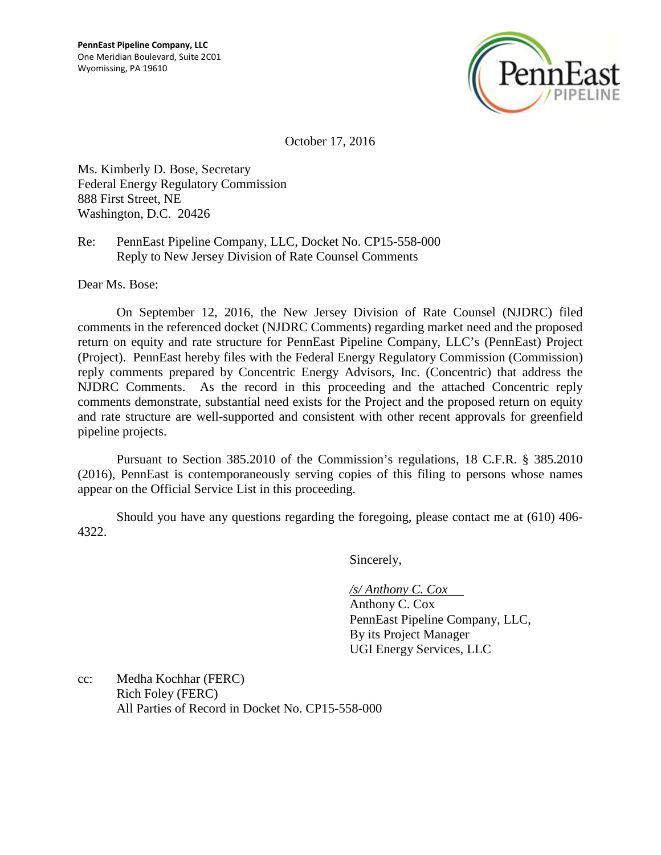

October 17, 2016

Ms. Kimberly D. Bose, Secretary Federal Energy Regulatory Commission 888 First Street, NE Washington, D.C. 20426

Re: PennEast Pipeline Company, LLC, Docket No. CP15-558-000 Reply to New Jersey Division of Rate Counsel Comments

Dear Ms. Bose:

On September 12, 2016, the New Jersey Division of Rate Counsel (NJDRC) filed comments in the referenced docket (NJDRC Comments) regarding market need and the proposed return on equity and rate structure for PennEast Pipeline Company, LLC's (PennEast) Project (Project). PennEast hereby files with the Federal Energy Regulatory Commission (Commission) reply comments prepared by Concentric Energy Advisors, Inc. (Concentric) that address the NJDRC Comments. As the record in this proceeding and the attached Concentric reply comments demonstrate, substantial need exists for the Project and the proposed return on equity and rate structure are well-supported and consistent with other recent approvals for greenfield pipeline projects.

Pursuant to Section 385.2010 of the Commission's regulations, 18 C.F.R. § 385.2010 (2016), PennEast is contemporaneously serving copies of this filing to persons whose names appear on the Official Service List in this proceeding.

Should you have any questions regarding the foregoing, please contact me at (610) 406- 4322.

Sincerely,

*/s/ Anthony C. Cox* 

Anthony C. Cox PennEast Pipeline Company, LLC, By its Project Manager UGI Energy Services, LLC

cc: Medha Kochhar (FERC) Rich Foley (FERC) All Parties of Record in Docket No. CP15-558-000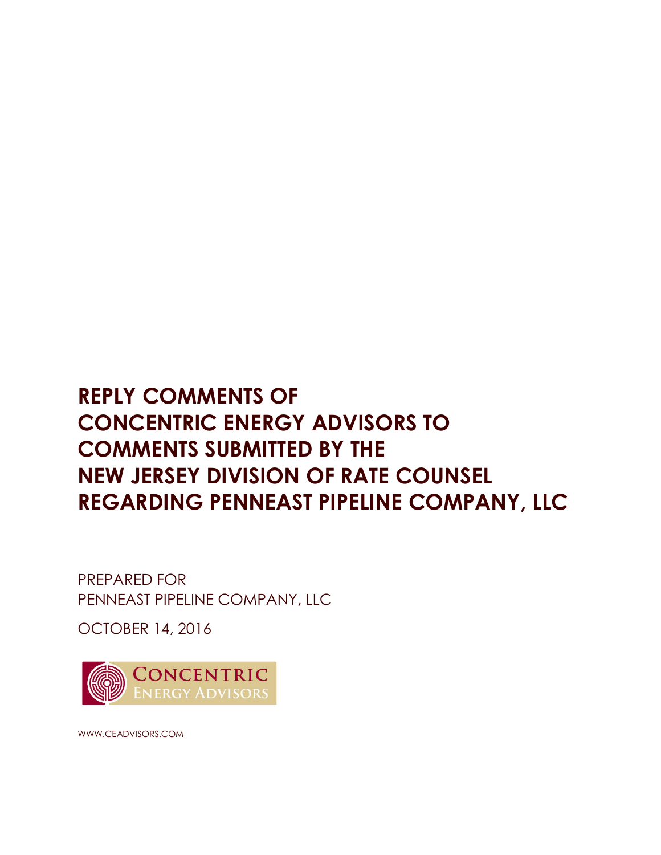# **REPLY COMMENTS OF CONCENTRIC ENERGY ADVISORS TO COMMENTS SUBMITTED BY THE NEW JERSEY DIVISION OF RATE COUNSEL REGARDING PENNEAST PIPELINE COMPANY, LLC**

PREPARED FOR PENNEAST PIPELINE COMPANY, LLC

OCTOBER 14, 2016



WWW.CEADVISORS.COM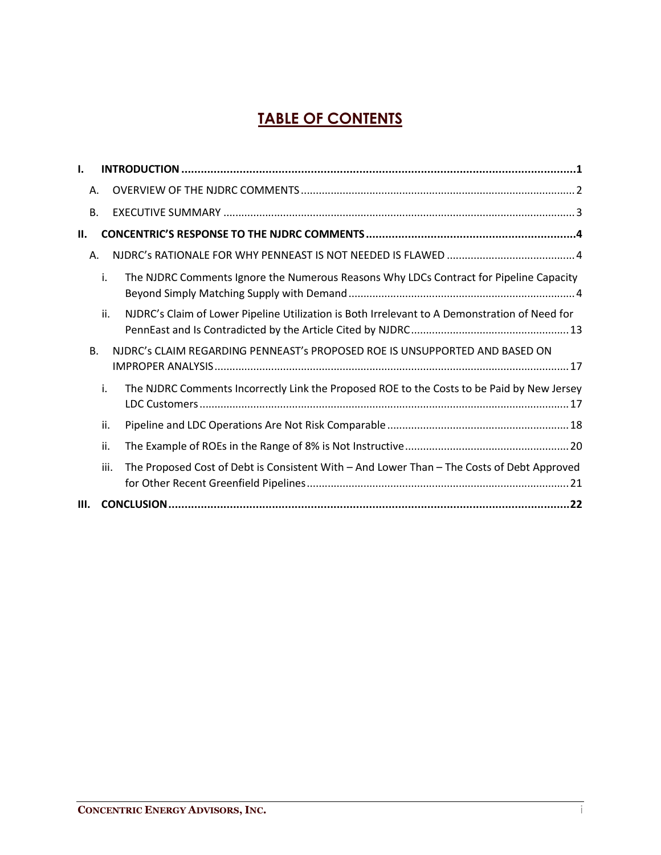# **TABLE OF CONTENTS**

| ı.        |      |                                                                                               |
|-----------|------|-----------------------------------------------------------------------------------------------|
| Α.        |      |                                                                                               |
| <b>B.</b> |      |                                                                                               |
| II.       |      |                                                                                               |
| Α.        |      |                                                                                               |
|           | i.   | The NJDRC Comments Ignore the Numerous Reasons Why LDCs Contract for Pipeline Capacity        |
|           | ii.  | NJDRC's Claim of Lower Pipeline Utilization is Both Irrelevant to A Demonstration of Need for |
| <b>B.</b> |      | NJDRC's CLAIM REGARDING PENNEAST's PROPOSED ROE IS UNSUPPORTED AND BASED ON                   |
|           | i.   | The NJDRC Comments Incorrectly Link the Proposed ROE to the Costs to be Paid by New Jersey    |
|           | ii.  |                                                                                               |
|           | ii.  |                                                                                               |
|           | iii. | The Proposed Cost of Debt is Consistent With - And Lower Than - The Costs of Debt Approved    |
| III.      |      |                                                                                               |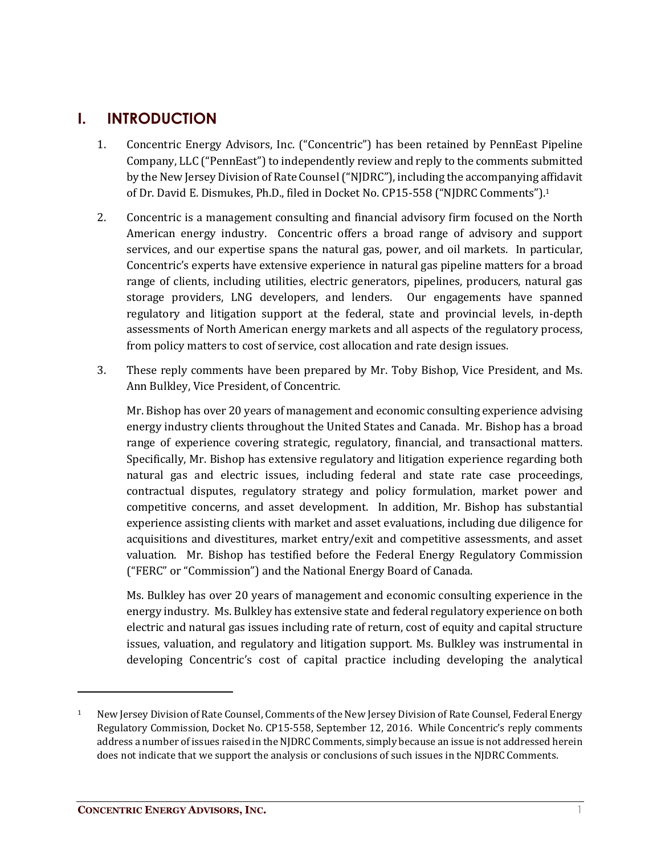## **I. INTRODUCTION**

- 1. Concentric Energy Advisors, Inc. ("Concentric") has been retained by PennEast Pipeline Company, LLC ("PennEast") to independently review and reply to the comments submitted by the New Jersey Division of Rate Counsel ("NJDRC"), including the accompanying affidavit of Dr. David E. Dismukes, Ph.D., filed in Docket No. CP15-558 ("NJDRC Comments"). 1
- 2. Concentric is a management consulting and financial advisory firm focused on the North American energy industry. Concentric offers a broad range of advisory and support services, and our expertise spans the natural gas, power, and oil markets. In particular, Concentric's experts have extensive experience in natural gas pipeline matters for a broad range of clients, including utilities, electric generators, pipelines, producers, natural gas storage providers, LNG developers, and lenders. Our engagements have spanned regulatory and litigation support at the federal, state and provincial levels, in-depth assessments of North American energy markets and all aspects of the regulatory process, from policy matters to cost of service, cost allocation and rate design issues.
- 3. These reply comments have been prepared by Mr. Toby Bishop, Vice President, and Ms. Ann Bulkley, Vice President, of Concentric.

Mr. Bishop has over 20 years of management and economic consulting experience advising energy industry clients throughout the United States and Canada. Mr. Bishop has a broad range of experience covering strategic, regulatory, financial, and transactional matters. Specifically, Mr. Bishop has extensive regulatory and litigation experience regarding both natural gas and electric issues, including federal and state rate case proceedings, contractual disputes, regulatory strategy and policy formulation, market power and competitive concerns, and asset development. In addition, Mr. Bishop has substantial experience assisting clients with market and asset evaluations, including due diligence for acquisitions and divestitures, market entry/exit and competitive assessments, and asset valuation. Mr. Bishop has testified before the Federal Energy Regulatory Commission ("FERC" or "Commission") and the National Energy Board of Canada.

Ms. Bulkley has over 20 years of management and economic consulting experience in the energy industry. Ms. Bulkley has extensive state and federal regulatory experience on both electric and natural gas issues including rate of return, cost of equity and capital structure issues, valuation, and regulatory and litigation support. Ms. Bulkley was instrumental in developing Concentric's cost of capital practice including developing the analytical

<sup>&</sup>lt;sup>1</sup> New Jersey Division of Rate Counsel, Comments of the New Jersey Division of Rate Counsel, Federal Energy Regulatory Commission, Docket No. CP15-558, September 12, 2016. While Concentric's reply comments address a number of issues raised in the NJDRC Comments, simply because an issue is not addressed herein does not indicate that we support the analysis or conclusions of such issues in the NJDRC Comments.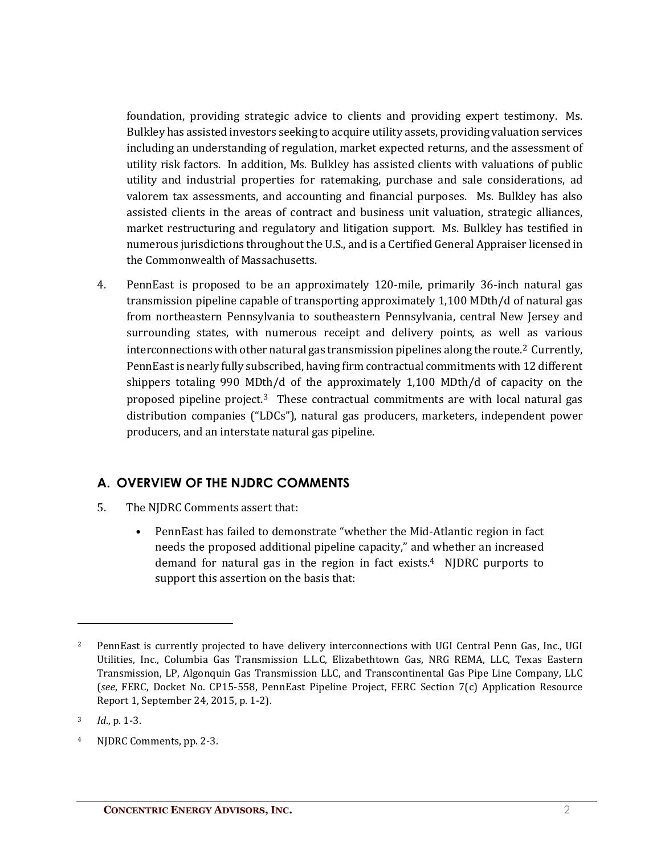foundation, providing strategic advice to clients and providing expert testimony. Ms. Bulkley has assisted investors seeking to acquire utility assets, providing valuation services including an understanding of regulation, market expected returns, and the assessment of utility risk factors. In addition, Ms. Bulkley has assisted clients with valuations of public utility and industrial properties for ratemaking, purchase and sale considerations, ad valorem tax assessments, and accounting and financial purposes. Ms. Bulkley has also assisted clients in the areas of contract and business unit valuation, strategic alliances, market restructuring and regulatory and litigation support. Ms. Bulkley has testified in numerous jurisdictions throughout the U.S., and is a Certified General Appraiser licensed in the Commonwealth of Massachusetts.

4. PennEast is proposed to be an approximately 120-mile, primarily 36-inch natural gas transmission pipeline capable of transporting approximately 1,100 MDth/d of natural gas from northeastern Pennsylvania to southeastern Pennsylvania, central New Jersey and surrounding states, with numerous receipt and delivery points, as well as various interconnections with other natural gas transmission pipelines along the route.<sup>2</sup> Currently, PennEast is nearly fully subscribed, having firm contractual commitments with 12 different shippers totaling 990 MDth/d of the approximately 1,100 MDth/d of capacity on the proposed pipeline project.<sup>3</sup> These contractual commitments are with local natural gas distribution companies ("LDCs"), natural gas producers, marketers, independent power producers, and an interstate natural gas pipeline.

#### **A. OVERVIEW OF THE NJDRC COMMENTS**

- 5. The NJDRC Comments assert that:
	- PennEast has failed to demonstrate "whether the Mid-Atlantic region in fact needs the proposed additional pipeline capacity," and whether an increased demand for natural gas in the region in fact exists. 4 NJDRC purports to support this assertion on the basis that:

<sup>&</sup>lt;sup>2</sup> PennEast is currently projected to have delivery interconnections with UGI Central Penn Gas, Inc., UGI Utilities, Inc., Columbia Gas Transmission L.L.C, Elizabethtown Gas, NRG REMA, LLC, Texas Eastern Transmission, LP, Algonquin Gas Transmission LLC, and Transcontinental Gas Pipe Line Company, LLC (*see*, FERC, Docket No. CP15-558, PennEast Pipeline Project, FERC Section 7(c) Application Resource Report 1, September 24, 2015, p. 1-2).

<sup>3</sup> *Id*., p. 1-3.

<sup>4</sup> NJDRC Comments, pp. 2-3.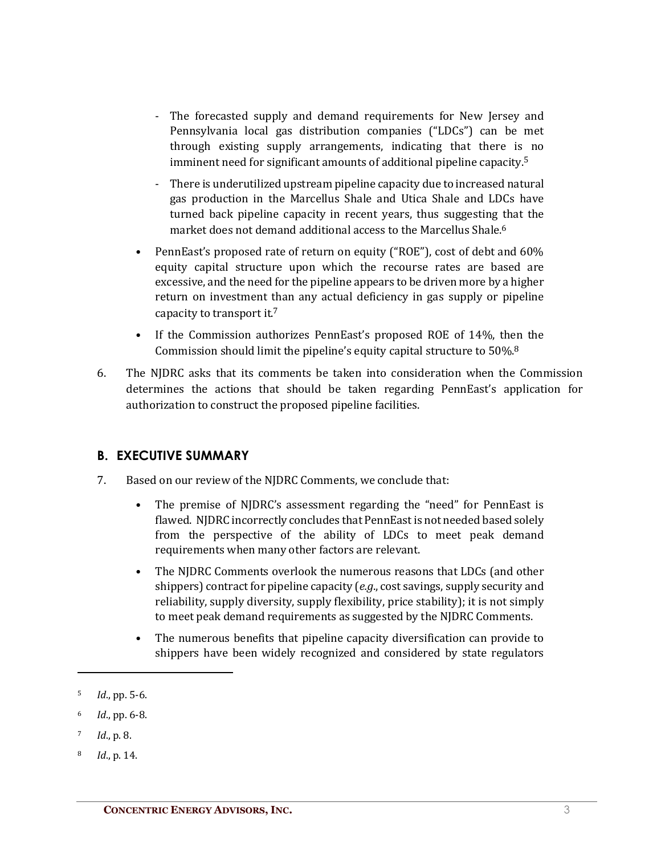- The forecasted supply and demand requirements for New Jersey and Pennsylvania local gas distribution companies ("LDCs") can be met through existing supply arrangements, indicating that there is no imminent need for significant amounts of additional pipeline capacity. 5
- There is underutilized upstream pipeline capacity due to increased natural gas production in the Marcellus Shale and Utica Shale and LDCs have turned back pipeline capacity in recent years, thus suggesting that the market does not demand additional access to the Marcellus Shale. 6
- PennEast's proposed rate of return on equity ("ROE"), cost of debt and 60% equity capital structure upon which the recourse rates are based are excessive, and the need for the pipeline appears to be driven more by a higher return on investment than any actual deficiency in gas supply or pipeline capacity to transport it.<sup>7</sup>
- If the Commission authorizes PennEast's proposed ROE of 14%, then the Commission should limit the pipeline's equity capital structure to 50%.8
- 6. The NJDRC asks that its comments be taken into consideration when the Commission determines the actions that should be taken regarding PennEast's application for authorization to construct the proposed pipeline facilities.

#### **B. EXECUTIVE SUMMARY**

- 7. Based on our review of the NJDRC Comments, we conclude that:
	- The premise of NJDRC's assessment regarding the "need" for PennEast is flawed. NJDRC incorrectly concludes that PennEast is not needed based solely from the perspective of the ability of LDCs to meet peak demand requirements when many other factors are relevant.
	- The NJDRC Comments overlook the numerous reasons that LDCs (and other shippers) contract for pipeline capacity (*e.g*., cost savings, supply security and reliability, supply diversity, supply flexibility, price stability); it is not simply to meet peak demand requirements as suggested by the NJDRC Comments.
	- The numerous benefits that pipeline capacity diversification can provide to shippers have been widely recognized and considered by state regulators

<sup>5</sup> *Id*., pp. 5-6.

<sup>6</sup> *Id*., pp. 6-8.

<sup>7</sup> *Id*., p. 8.

<sup>8</sup> *Id*., p. 14.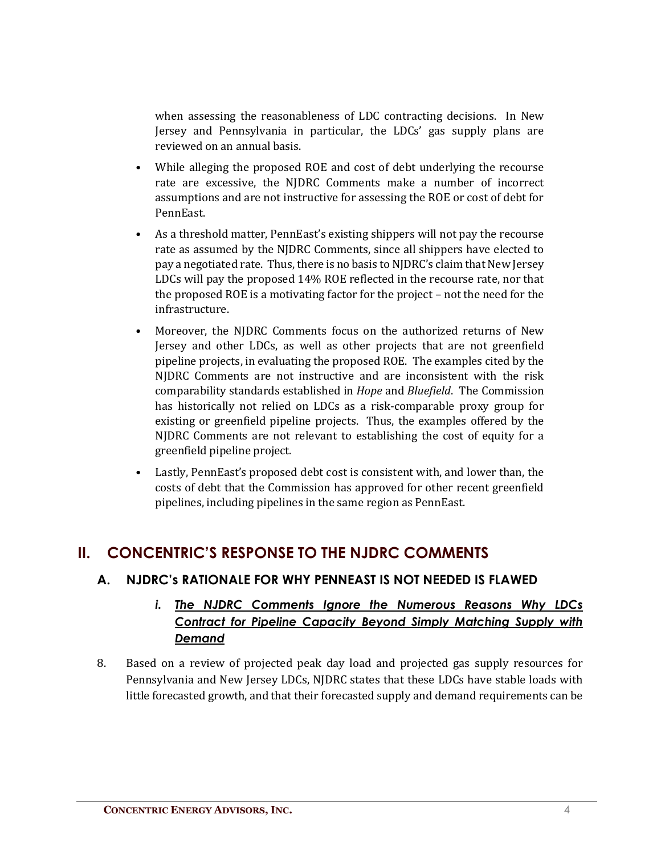when assessing the reasonableness of LDC contracting decisions. In New Jersey and Pennsylvania in particular, the LDCs' gas supply plans are reviewed on an annual basis.

- While alleging the proposed ROE and cost of debt underlying the recourse rate are excessive, the NJDRC Comments make a number of incorrect assumptions and are not instructive for assessing the ROE or cost of debt for PennEast.
- As a threshold matter, PennEast's existing shippers will not pay the recourse rate as assumed by the NJDRC Comments, since all shippers have elected to pay a negotiated rate. Thus, there is no basis to NJDRC's claim that New Jersey LDCs will pay the proposed 14% ROE reflected in the recourse rate, nor that the proposed ROE is a motivating factor for the project – not the need for the infrastructure.
- Moreover, the NJDRC Comments focus on the authorized returns of New Jersey and other LDCs, as well as other projects that are not greenfield pipeline projects, in evaluating the proposed ROE. The examples cited by the NJDRC Comments are not instructive and are inconsistent with the risk comparability standards established in *Hope* and *Bluefield*. The Commission has historically not relied on LDCs as a risk-comparable proxy group for existing or greenfield pipeline projects. Thus, the examples offered by the NJDRC Comments are not relevant to establishing the cost of equity for a greenfield pipeline project.
- Lastly, PennEast's proposed debt cost is consistent with, and lower than, the costs of debt that the Commission has approved for other recent greenfield pipelines, including pipelines in the same region as PennEast.

# **II. CONCENTRIC'S RESPONSE TO THE NJDRC COMMENTS**

#### **A. NJDRC's RATIONALE FOR WHY PENNEAST IS NOT NEEDED IS FLAWED**

#### *i. The NJDRC Comments Ignore the Numerous Reasons Why LDCs Contract for Pipeline Capacity Beyond Simply Matching Supply with Demand*

8. Based on a review of projected peak day load and projected gas supply resources for Pennsylvania and New Jersey LDCs, NJDRC states that these LDCs have stable loads with little forecasted growth, and that their forecasted supply and demand requirements can be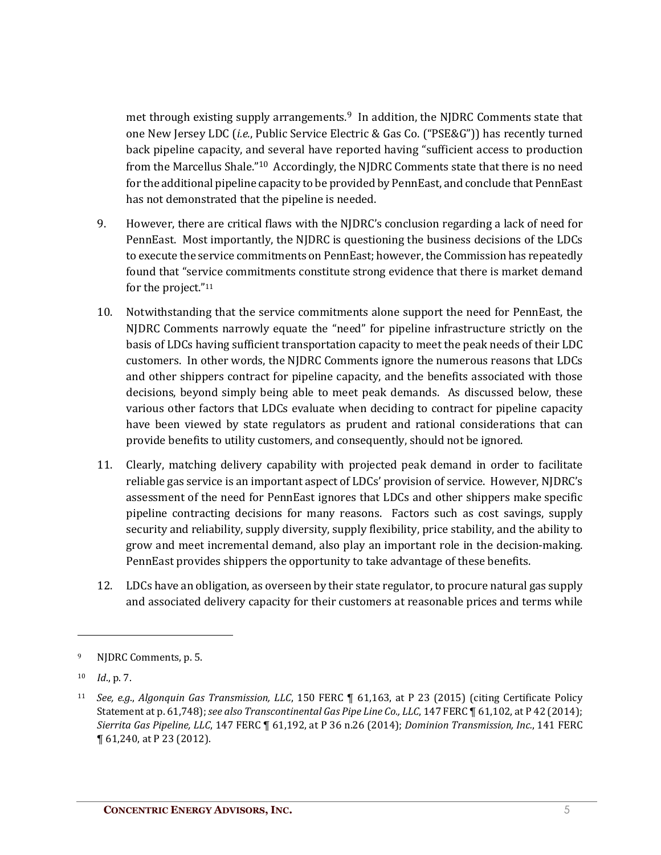met through existing supply arrangements.<sup>9</sup> In addition, the NJDRC Comments state that one New Jersey LDC (*i.e.*, Public Service Electric & Gas Co. ("PSE&G")) has recently turned back pipeline capacity, and several have reported having "sufficient access to production from the Marcellus Shale."10 Accordingly, the NJDRC Comments state that there is no need for the additional pipeline capacity to be provided by PennEast, and conclude that PennEast has not demonstrated that the pipeline is needed.

- 9. However, there are critical flaws with the NJDRC's conclusion regarding a lack of need for PennEast. Most importantly, the NJDRC is questioning the business decisions of the LDCs to execute the service commitments on PennEast; however, the Commission has repeatedly found that "service commitments constitute strong evidence that there is market demand for the project."11
- 10. Notwithstanding that the service commitments alone support the need for PennEast, the NJDRC Comments narrowly equate the "need" for pipeline infrastructure strictly on the basis of LDCs having sufficient transportation capacity to meet the peak needs of their LDC customers. In other words, the NJDRC Comments ignore the numerous reasons that LDCs and other shippers contract for pipeline capacity, and the benefits associated with those decisions, beyond simply being able to meet peak demands. As discussed below, these various other factors that LDCs evaluate when deciding to contract for pipeline capacity have been viewed by state regulators as prudent and rational considerations that can provide benefits to utility customers, and consequently, should not be ignored.
- 11. Clearly, matching delivery capability with projected peak demand in order to facilitate reliable gas service is an important aspect of LDCs' provision of service. However, NJDRC's assessment of the need for PennEast ignores that LDCs and other shippers make specific pipeline contracting decisions for many reasons. Factors such as cost savings, supply security and reliability, supply diversity, supply flexibility, price stability, and the ability to grow and meet incremental demand, also play an important role in the decision-making. PennEast provides shippers the opportunity to take advantage of these benefits.
- 12. LDCs have an obligation, as overseen by their state regulator, to procure natural gas supply and associated delivery capacity for their customers at reasonable prices and terms while

<sup>9</sup> NJDRC Comments, p. 5.

<sup>10</sup> *Id*., p. 7.

<sup>11</sup> *See, e.g*., *Algonquin Gas Transmission, LLC*, 150 FERC ¶ 61,163, at P 23 (2015) (citing Certificate Policy Statement at p. 61,748); *see also Transcontinental Gas Pipe Line Co., LLC*, 147 FERC ¶ 61,102, at P 42 (2014); *Sierrita Gas Pipeline, LLC*, 147 FERC ¶ 61,192, at P 36 n.26 (2014); *Dominion Transmission, Inc.*, 141 FERC ¶ 61,240, at P 23 (2012).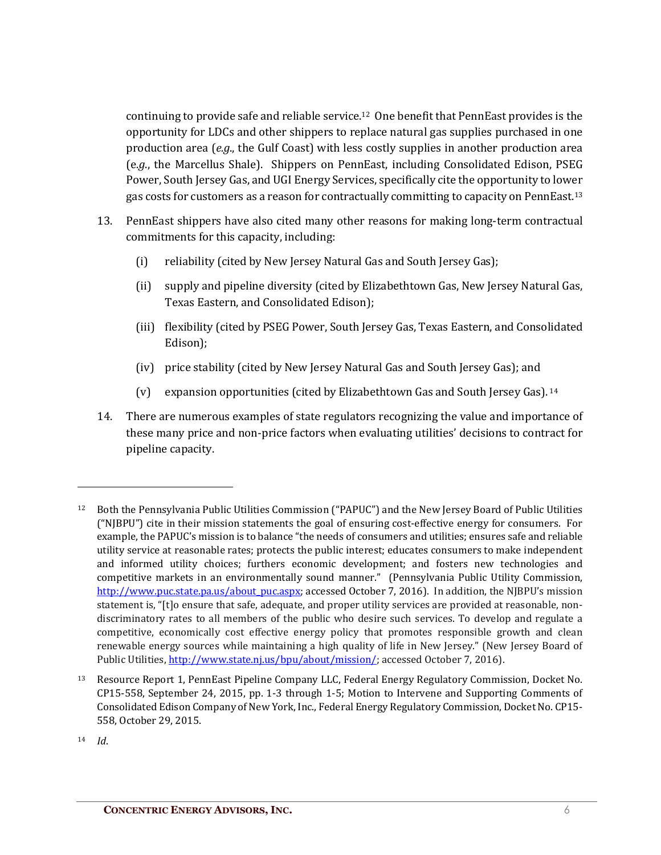continuing to provide safe and reliable service.12 One benefit that PennEast provides is the opportunity for LDCs and other shippers to replace natural gas supplies purchased in one production area (*e.g*., the Gulf Coast) with less costly supplies in another production area (e*.g*., the Marcellus Shale). Shippers on PennEast, including Consolidated Edison, PSEG Power, South Jersey Gas, and UGI Energy Services, specifically cite the opportunity to lower gas costs for customers as a reason for contractually committing to capacity on PennEast. 13

- 13. PennEast shippers have also cited many other reasons for making long-term contractual commitments for this capacity, including:
	- (i) reliability (cited by New Jersey Natural Gas and South Jersey Gas);
	- (ii) supply and pipeline diversity (cited by Elizabethtown Gas, New Jersey Natural Gas, Texas Eastern, and Consolidated Edison);
	- (iii) flexibility (cited by PSEG Power, South Jersey Gas, Texas Eastern, and Consolidated Edison);
	- (iv) price stability (cited by New Jersey Natural Gas and South Jersey Gas); and
	- (v) expansion opportunities (cited by Elizabethtown Gas and South Jersey Gas). <sup>14</sup>
- 14. There are numerous examples of state regulators recognizing the value and importance of these many price and non-price factors when evaluating utilities' decisions to contract for pipeline capacity.

<sup>12</sup> Both the Pennsylvania Public Utilities Commission ("PAPUC") and the New Jersey Board of Public Utilities ("NJBPU") cite in their mission statements the goal of ensuring cost-effective energy for consumers. For example, the PAPUC's mission is to balance "the needs of consumers and utilities; ensures safe and reliable utility service at reasonable rates; protects the public interest; educates consumers to make independent and informed utility choices; furthers economic development; and fosters new technologies and competitive markets in an environmentally sound manner." (Pennsylvania Public Utility Commission, http://www.puc.state.pa.us/about\_puc.aspx; accessed October 7, 2016). In addition, the NJBPU's mission statement is, "[t]o ensure that safe, adequate, and proper utility services are provided at reasonable, nondiscriminatory rates to all members of the public who desire such services. To develop and regulate a competitive, economically cost effective energy policy that promotes responsible growth and clean renewable energy sources while maintaining a high quality of life in New Jersey." (New Jersey Board of Public Utilities, http://www.state.nj.us/bpu/about/mission/; accessed October 7, 2016).

<sup>13</sup> Resource Report 1, PennEast Pipeline Company LLC, Federal Energy Regulatory Commission, Docket No. CP15-558, September 24, 2015, pp. 1-3 through 1-5; Motion to Intervene and Supporting Comments of Consolidated Edison Company of New York, Inc., Federal Energy Regulatory Commission, Docket No. CP15- 558, October 29, 2015.

<sup>14</sup> *Id*.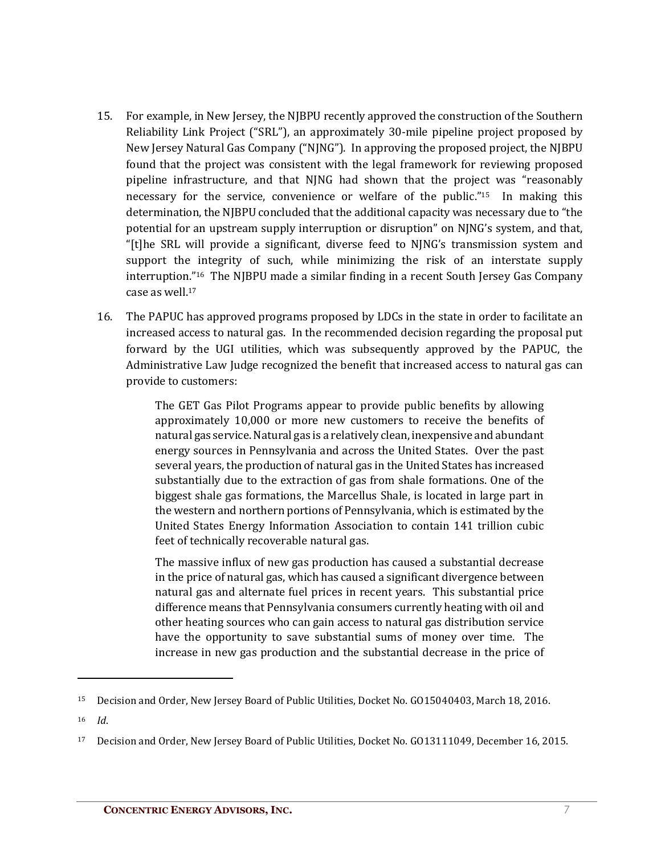- 15. For example, in New Jersey, the NJBPU recently approved the construction of the Southern Reliability Link Project ("SRL"), an approximately 30-mile pipeline project proposed by New Jersey Natural Gas Company ("NJNG"). In approving the proposed project, the NJBPU found that the project was consistent with the legal framework for reviewing proposed pipeline infrastructure, and that NJNG had shown that the project was "reasonably necessary for the service, convenience or welfare of the public."15 In making this determination, the NJBPU concluded that the additional capacity was necessary due to "the potential for an upstream supply interruption or disruption" on NJNG's system, and that, "[t]he SRL will provide a significant, diverse feed to NJNG's transmission system and support the integrity of such, while minimizing the risk of an interstate supply interruption."16 The NJBPU made a similar finding in a recent South Jersey Gas Company case as well.17
- 16. The PAPUC has approved programs proposed by LDCs in the state in order to facilitate an increased access to natural gas. In the recommended decision regarding the proposal put forward by the UGI utilities, which was subsequently approved by the PAPUC, the Administrative Law Judge recognized the benefit that increased access to natural gas can provide to customers:

The GET Gas Pilot Programs appear to provide public benefits by allowing approximately 10,000 or more new customers to receive the benefits of natural gas service. Natural gas is a relatively clean, inexpensive and abundant energy sources in Pennsylvania and across the United States. Over the past several years, the production of natural gas in the United States has increased substantially due to the extraction of gas from shale formations. One of the biggest shale gas formations, the Marcellus Shale, is located in large part in the western and northern portions of Pennsylvania, which is estimated by the United States Energy Information Association to contain 141 trillion cubic feet of technically recoverable natural gas.

The massive influx of new gas production has caused a substantial decrease in the price of natural gas, which has caused a significant divergence between natural gas and alternate fuel prices in recent years. This substantial price difference means that Pennsylvania consumers currently heating with oil and other heating sources who can gain access to natural gas distribution service have the opportunity to save substantial sums of money over time. The increase in new gas production and the substantial decrease in the price of

<sup>16</sup> *Id*.

 $\overline{a}$ 

<sup>&</sup>lt;sup>15</sup> Decision and Order, New Jersey Board of Public Utilities, Docket No. G015040403, March 18, 2016.

<sup>&</sup>lt;sup>17</sup> Decision and Order, New Jersey Board of Public Utilities, Docket No. G013111049, December 16, 2015.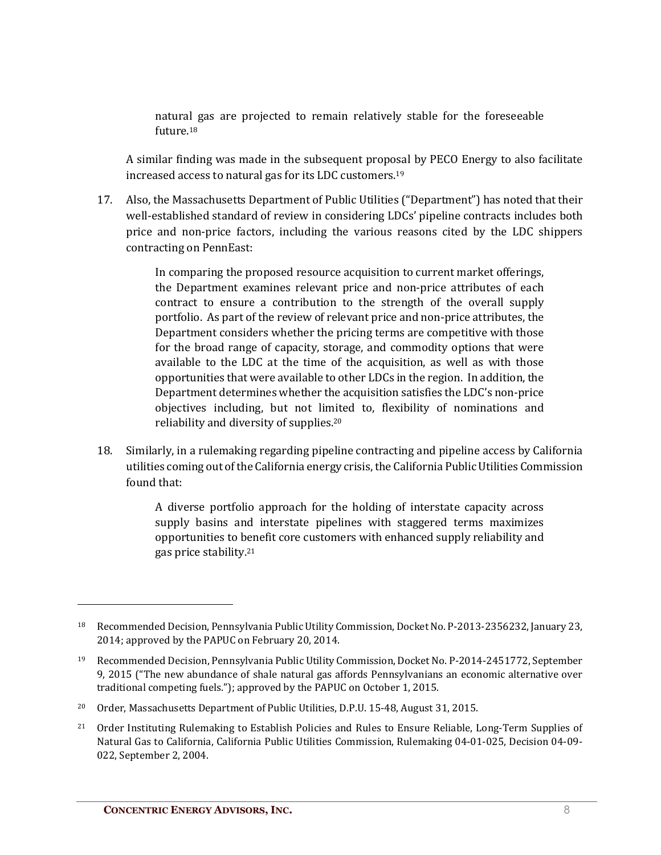natural gas are projected to remain relatively stable for the foreseeable future. 18

A similar finding was made in the subsequent proposal by PECO Energy to also facilitate increased access to natural gas for its LDC customers. 19

17. Also, the Massachusetts Department of Public Utilities ("Department") has noted that their well-established standard of review in considering LDCs' pipeline contracts includes both price and non-price factors, including the various reasons cited by the LDC shippers contracting on PennEast:

> In comparing the proposed resource acquisition to current market offerings, the Department examines relevant price and non-price attributes of each contract to ensure a contribution to the strength of the overall supply portfolio. As part of the review of relevant price and non-price attributes, the Department considers whether the pricing terms are competitive with those for the broad range of capacity, storage, and commodity options that were available to the LDC at the time of the acquisition, as well as with those opportunities that were available to other LDCs in the region. In addition, the Department determines whether the acquisition satisfies the LDC's non-price objectives including, but not limited to, flexibility of nominations and reliability and diversity of supplies.20

18. Similarly, in a rulemaking regarding pipeline contracting and pipeline access by California utilities coming out of the California energy crisis, the California Public Utilities Commission found that:

> A diverse portfolio approach for the holding of interstate capacity across supply basins and interstate pipelines with staggered terms maximizes opportunities to benefit core customers with enhanced supply reliability and gas price stability.21

<sup>18</sup> Recommended Decision, Pennsylvania Public Utility Commission, Docket No. P-2013-2356232, January 23, 2014; approved by the PAPUC on February 20, 2014.

<sup>19</sup> Recommended Decision, Pennsylvania Public Utility Commission, Docket No. P-2014-2451772, September 9, 2015 ("The new abundance of shale natural gas affords Pennsylvanians an economic alternative over traditional competing fuels."); approved by the PAPUC on October 1, 2015.

<sup>&</sup>lt;sup>20</sup> Order, Massachusetts Department of Public Utilities, D.P.U. 15-48, August 31, 2015.

<sup>&</sup>lt;sup>21</sup> Order Instituting Rulemaking to Establish Policies and Rules to Ensure Reliable, Long-Term Supplies of Natural Gas to California, California Public Utilities Commission, Rulemaking 04-01-025, Decision 04-09- 022, September 2, 2004.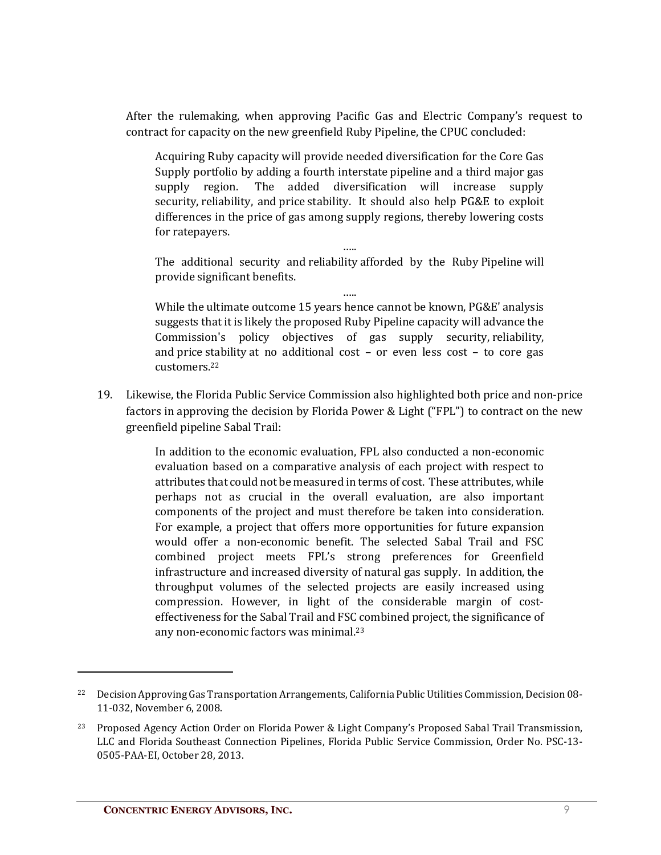After the rulemaking, when approving Pacific Gas and Electric Company's request to contract for capacity on the new greenfield Ruby Pipeline, the CPUC concluded:

Acquiring Ruby capacity will provide needed diversification for the Core Gas Supply portfolio by adding a fourth interstate pipeline and a third major gas supply region. The added diversification will increase supply security, reliability, and price stability. It should also help PG&E to exploit differences in the price of gas among supply regions, thereby lowering costs for ratepayers.

….. The additional security and reliability afforded by the Ruby Pipeline will provide significant benefits.

….. While the ultimate outcome 15 years hence cannot be known, PG&E' analysis suggests that it is likely the proposed Ruby Pipeline capacity will advance the Commission's policy objectives of gas supply security, reliability, and price stability at no additional cost – or even less cost – to core gas customers.22

19. Likewise, the Florida Public Service Commission also highlighted both price and non-price factors in approving the decision by Florida Power & Light ("FPL") to contract on the new greenfield pipeline Sabal Trail:

> In addition to the economic evaluation, FPL also conducted a non-economic evaluation based on a comparative analysis of each project with respect to attributes that could not be measured in terms of cost. These attributes, while perhaps not as crucial in the overall evaluation, are also important components of the project and must therefore be taken into consideration. For example, a project that offers more opportunities for future expansion would offer a non-economic benefit. The selected Sabal Trail and FSC combined project meets FPL's strong preferences for Greenfield infrastructure and increased diversity of natural gas supply. In addition, the throughput volumes of the selected projects are easily increased using compression. However, in light of the considerable margin of costeffectiveness for the Sabal Trail and FSC combined project, the significance of any non-economic factors was minimal.23

<sup>&</sup>lt;sup>22</sup> Decision Approving Gas Transportation Arrangements, California Public Utilities Commission, Decision 08-11-032, November 6, 2008.

<sup>23</sup> Proposed Agency Action Order on Florida Power & Light Company's Proposed Sabal Trail Transmission, LLC and Florida Southeast Connection Pipelines, Florida Public Service Commission, Order No. PSC-13- 0505-PAA-EI, October 28, 2013.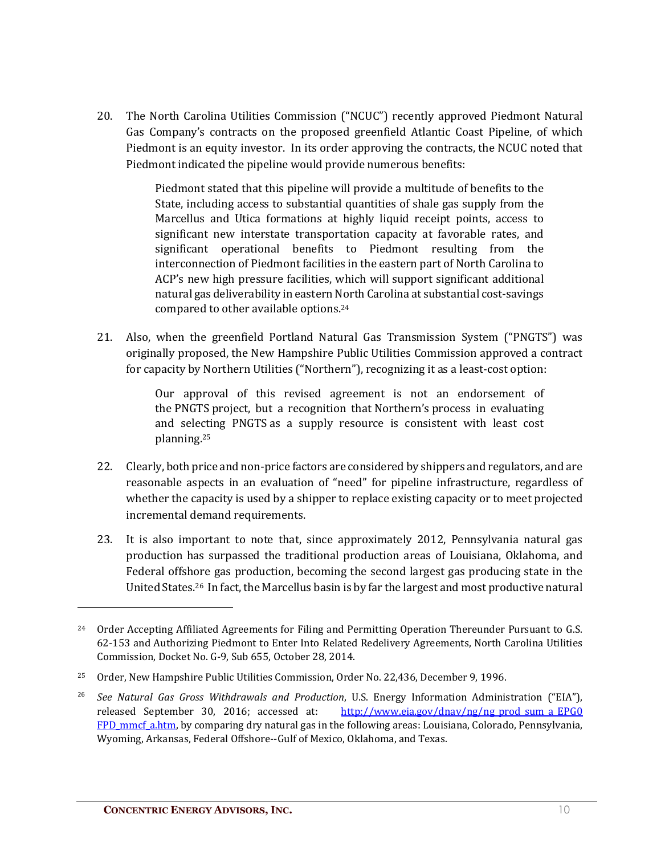20. The North Carolina Utilities Commission ("NCUC") recently approved Piedmont Natural Gas Company's contracts on the proposed greenfield Atlantic Coast Pipeline, of which Piedmont is an equity investor. In its order approving the contracts, the NCUC noted that Piedmont indicated the pipeline would provide numerous benefits:

> Piedmont stated that this pipeline will provide a multitude of benefits to the State, including access to substantial quantities of shale gas supply from the Marcellus and Utica formations at highly liquid receipt points, access to significant new interstate transportation capacity at favorable rates, and significant operational benefits to Piedmont resulting from the interconnection of Piedmont facilities in the eastern part of North Carolina to ACP's new high pressure facilities, which will support significant additional natural gas deliverability in eastern North Carolina at substantial cost-savings compared to other available options.24

21. Also, when the greenfield Portland Natural Gas Transmission System ("PNGTS") was originally proposed, the New Hampshire Public Utilities Commission approved a contract for capacity by Northern Utilities ("Northern"), recognizing it as a least-cost option:

> Our approval of this revised agreement is not an endorsement of the PNGTS project, but a recognition that Northern's process in evaluating and selecting PNGTS as a supply resource is consistent with least cost planning.25

- 22. Clearly, both price and non-price factors are considered by shippers and regulators, and are reasonable aspects in an evaluation of "need" for pipeline infrastructure, regardless of whether the capacity is used by a shipper to replace existing capacity or to meet projected incremental demand requirements.
- 23. It is also important to note that, since approximately 2012, Pennsylvania natural gas production has surpassed the traditional production areas of Louisiana, Oklahoma, and Federal offshore gas production, becoming the second largest gas producing state in the United States.26 In fact, the Marcellus basin is by far the largest and most productive natural

<sup>&</sup>lt;sup>24</sup> Order Accepting Affiliated Agreements for Filing and Permitting Operation Thereunder Pursuant to G.S. 62-153 and Authorizing Piedmont to Enter Into Related Redelivery Agreements, North Carolina Utilities Commission, Docket No. G-9, Sub 655, October 28, 2014.

<sup>25</sup> Order, New Hampshire Public Utilities Commission, Order No. 22,436, December 9, 1996.

<sup>26</sup> *See Natural Gas Gross Withdrawals and Production*, U.S. Energy Information Administration ("EIA"), released September 30, 2016; accessed at:  $\frac{http://www.eia.gov/dnav/ng/ng prod sumaEPG0}{}$ FPD mmcf a.htm, by comparing dry natural gas in the following areas: Louisiana, Colorado, Pennsylvania, Wyoming, Arkansas, Federal Offshore--Gulf of Mexico, Oklahoma, and Texas.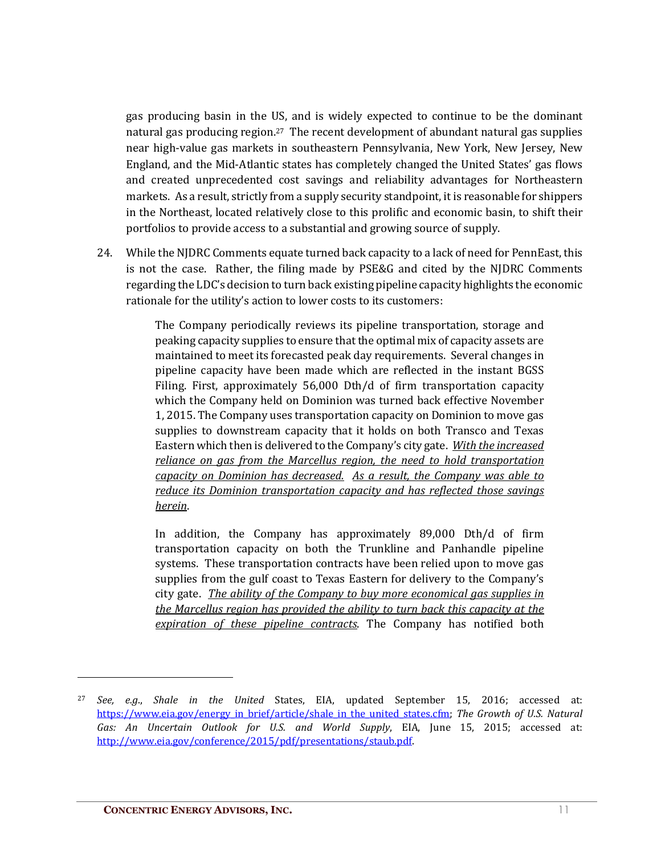gas producing basin in the US, and is widely expected to continue to be the dominant natural gas producing region.27 The recent development of abundant natural gas supplies near high-value gas markets in southeastern Pennsylvania, New York, New Jersey, New England, and the Mid-Atlantic states has completely changed the United States' gas flows and created unprecedented cost savings and reliability advantages for Northeastern markets. As a result, strictly from a supply security standpoint, it is reasonable for shippers in the Northeast, located relatively close to this prolific and economic basin, to shift their portfolios to provide access to a substantial and growing source of supply.

24. While the NJDRC Comments equate turned back capacity to a lack of need for PennEast, this is not the case. Rather, the filing made by PSE&G and cited by the NJDRC Comments regarding the LDC's decision to turn back existing pipeline capacity highlights the economic rationale for the utility's action to lower costs to its customers:

> The Company periodically reviews its pipeline transportation, storage and peaking capacity supplies to ensure that the optimal mix of capacity assets are maintained to meet its forecasted peak day requirements. Several changes in pipeline capacity have been made which are reflected in the instant BGSS Filing. First, approximately 56,000 Dth/d of firm transportation capacity which the Company held on Dominion was turned back effective November 1, 2015. The Company uses transportation capacity on Dominion to move gas supplies to downstream capacity that it holds on both Transco and Texas Eastern which then is delivered to the Company's city gate. *With the increased reliance on gas from the Marcellus region, the need to hold transportation capacity on Dominion has decreased. As a result, the Company was able to reduce its Dominion transportation capacity and has reflected those savings herein*.

> In addition, the Company has approximately 89,000 Dth/d of firm transportation capacity on both the Trunkline and Panhandle pipeline systems. These transportation contracts have been relied upon to move gas supplies from the gulf coast to Texas Eastern for delivery to the Company's city gate. *The ability of the Company to buy more economical gas supplies in the Marcellus region has provided the ability to turn back this capacity at the expiration of these pipeline contracts*. The Company has notified both

 $\overline{a}$ 

<sup>27</sup> *See, e.g*., *Shale in the United* States, EIA, updated September 15, 2016; accessed at: https://www.eia.gov/energy\_in\_brief/article/shale\_in\_the\_united\_states.cfm; *The Growth of U.S. Natural Gas: An Uncertain Outlook for U.S. and World Supply*, EIA, June 15, 2015; accessed at: http://www.eia.gov/conference/2015/pdf/presentations/staub.pdf.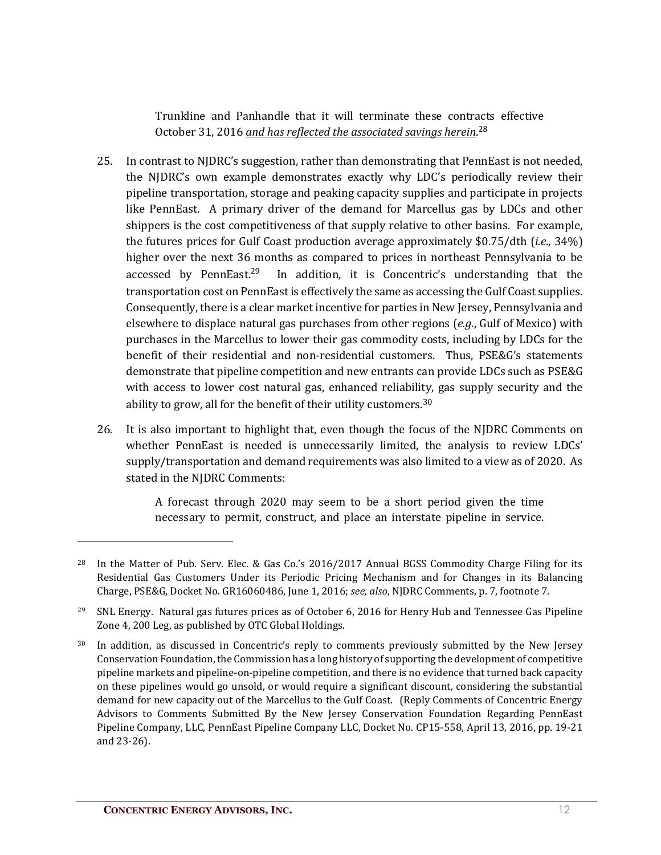Trunkline and Panhandle that it will terminate these contracts effective October 31, 2016 *and has reflected the associated savings herein*. 28

- 25. In contrast to NJDRC's suggestion, rather than demonstrating that PennEast is not needed, the NJDRC's own example demonstrates exactly why LDC's periodically review their pipeline transportation, storage and peaking capacity supplies and participate in projects like PennEast. A primary driver of the demand for Marcellus gas by LDCs and other shippers is the cost competitiveness of that supply relative to other basins. For example, the futures prices for Gulf Coast production average approximately \$0.75/dth (*i.e*., 34%) higher over the next 36 months as compared to prices in northeast Pennsylvania to be accessed by PennEast.<sup>29</sup> In addition, it is Concentric's understanding that the transportation cost on PennEast is effectively the same as accessing the Gulf Coast supplies. Consequently, there is a clear market incentive for parties in New Jersey, Pennsylvania and elsewhere to displace natural gas purchases from other regions (*e.g*., Gulf of Mexico) with purchases in the Marcellus to lower their gas commodity costs, including by LDCs for the benefit of their residential and non-residential customers. Thus, PSE&G's statements demonstrate that pipeline competition and new entrants can provide LDCs such as PSE&G with access to lower cost natural gas, enhanced reliability, gas supply security and the ability to grow, all for the benefit of their utility customers.30
- 26. It is also important to highlight that, even though the focus of the NJDRC Comments on whether PennEast is needed is unnecessarily limited, the analysis to review LDCs' supply/transportation and demand requirements was also limited to a view as of 2020. As stated in the NJDRC Comments:

A forecast through 2020 may seem to be a short period given the time necessary to permit, construct, and place an interstate pipeline in service.

<sup>&</sup>lt;sup>28</sup> In the Matter of Pub. Serv. Elec. & Gas Co.'s 2016/2017 Annual BGSS Commodity Charge Filing for its Residential Gas Customers Under its Periodic Pricing Mechanism and for Changes in its Balancing Charge, PSE&G, Docket No. GR16060486, June 1, 2016; *see, also*, NJDRC Comments, p. 7, footnote 7.

<sup>29</sup> SNL Energy. Natural gas futures prices as of October 6, 2016 for Henry Hub and Tennessee Gas Pipeline Zone 4, 200 Leg, as published by OTC Global Holdings.

In addition, as discussed in Concentric's reply to comments previously submitted by the New Jersey Conservation Foundation, the Commission has a long history of supporting the development of competitive pipeline markets and pipeline-on-pipeline competition, and there is no evidence that turned back capacity on these pipelines would go unsold, or would require a significant discount, considering the substantial demand for new capacity out of the Marcellus to the Gulf Coast. (Reply Comments of Concentric Energy Advisors to Comments Submitted By the New Jersey Conservation Foundation Regarding PennEast Pipeline Company, LLC, PennEast Pipeline Company LLC, Docket No. CP15-558, April 13, 2016, pp. 19-21 and 23-26).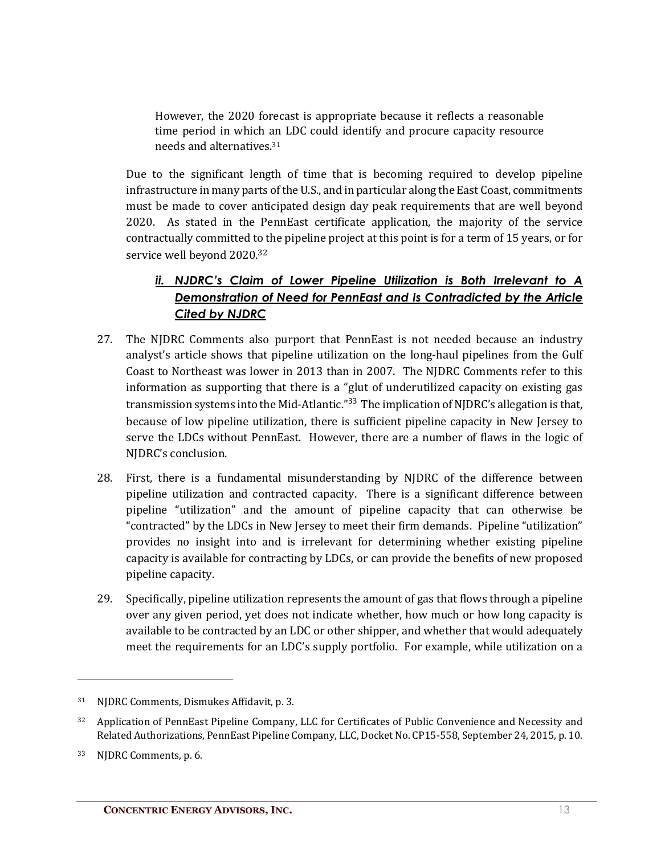However, the 2020 forecast is appropriate because it reflects a reasonable time period in which an LDC could identify and procure capacity resource needs and alternatives.31

Due to the significant length of time that is becoming required to develop pipeline infrastructure in many parts of the U.S., and in particular along the East Coast, commitments must be made to cover anticipated design day peak requirements that are well beyond 2020. As stated in the PennEast certificate application, the majority of the service contractually committed to the pipeline project at this point is for a term of 15 years, or for service well beyond 2020.32

#### *ii. NJDRC's Claim of Lower Pipeline Utilization is Both Irrelevant to A Demonstration of Need for PennEast and Is Contradicted by the Article Cited by NJDRC*

- 27. The NJDRC Comments also purport that PennEast is not needed because an industry analyst's article shows that pipeline utilization on the long-haul pipelines from the Gulf Coast to Northeast was lower in 2013 than in 2007. The NJDRC Comments refer to this information as supporting that there is a "glut of underutilized capacity on existing gas transmission systems into the Mid-Atlantic."<sup>33</sup> The implication of NJDRC's allegation is that, because of low pipeline utilization, there is sufficient pipeline capacity in New Jersey to serve the LDCs without PennEast. However, there are a number of flaws in the logic of NJDRC's conclusion.
- 28. First, there is a fundamental misunderstanding by NJDRC of the difference between pipeline utilization and contracted capacity. There is a significant difference between pipeline "utilization" and the amount of pipeline capacity that can otherwise be "contracted" by the LDCs in New Jersey to meet their firm demands. Pipeline "utilization" provides no insight into and is irrelevant for determining whether existing pipeline capacity is available for contracting by LDCs, or can provide the benefits of new proposed pipeline capacity.
- 29. Specifically, pipeline utilization represents the amount of gas that flows through a pipeline over any given period, yet does not indicate whether, how much or how long capacity is available to be contracted by an LDC or other shipper, and whether that would adequately meet the requirements for an LDC's supply portfolio. For example, while utilization on a

<sup>31</sup> NJDRC Comments, Dismukes Affidavit, p. 3.

<sup>32</sup> Application of PennEast Pipeline Company, LLC for Certificates of Public Convenience and Necessity and Related Authorizations, PennEast Pipeline Company, LLC, Docket No. CP15-558, September 24, 2015, p. 10.

<sup>33</sup> NJDRC Comments, p. 6.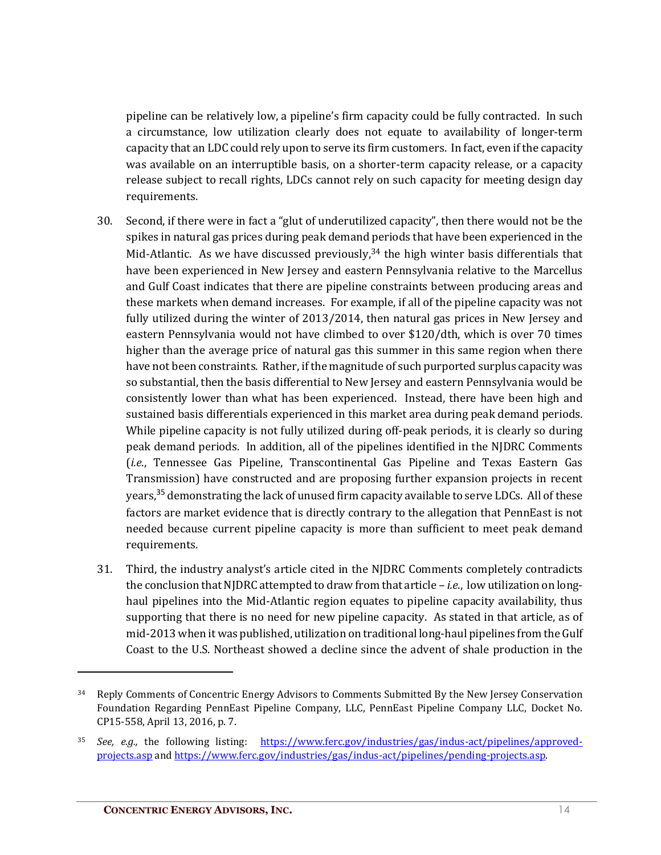pipeline can be relatively low, a pipeline's firm capacity could be fully contracted. In such a circumstance, low utilization clearly does not equate to availability of longer-term capacity that an LDC could rely upon to serve its firm customers. In fact, even if the capacity was available on an interruptible basis, on a shorter-term capacity release, or a capacity release subject to recall rights, LDCs cannot rely on such capacity for meeting design day requirements.

- 30. Second, if there were in fact a "glut of underutilized capacity", then there would not be the spikes in natural gas prices during peak demand periods that have been experienced in the Mid-Atlantic. As we have discussed previously, $34$  the high winter basis differentials that have been experienced in New Jersey and eastern Pennsylvania relative to the Marcellus and Gulf Coast indicates that there are pipeline constraints between producing areas and these markets when demand increases. For example, if all of the pipeline capacity was not fully utilized during the winter of 2013/2014, then natural gas prices in New Jersey and eastern Pennsylvania would not have climbed to over \$120/dth, which is over 70 times higher than the average price of natural gas this summer in this same region when there have not been constraints. Rather, if the magnitude of such purported surplus capacity was so substantial, then the basis differential to New Jersey and eastern Pennsylvania would be consistently lower than what has been experienced. Instead, there have been high and sustained basis differentials experienced in this market area during peak demand periods. While pipeline capacity is not fully utilized during off-peak periods, it is clearly so during peak demand periods. In addition, all of the pipelines identified in the NJDRC Comments (*i.e*., Tennessee Gas Pipeline, Transcontinental Gas Pipeline and Texas Eastern Gas Transmission) have constructed and are proposing further expansion projects in recent years,<sup>35</sup> demonstrating the lack of unused firm capacity available to serve LDCs. All of these factors are market evidence that is directly contrary to the allegation that PennEast is not needed because current pipeline capacity is more than sufficient to meet peak demand requirements.
- 31. Third, the industry analyst's article cited in the NJDRC Comments completely contradicts the conclusion that NJDRC attempted to draw from that article – *i.e*., low utilization on longhaul pipelines into the Mid-Atlantic region equates to pipeline capacity availability, thus supporting that there is no need for new pipeline capacity. As stated in that article, as of mid-2013 when it was published, utilization on traditional long-haul pipelines from the Gulf Coast to the U.S. Northeast showed a decline since the advent of shale production in the

<sup>&</sup>lt;sup>34</sup> Reply Comments of Concentric Energy Advisors to Comments Submitted By the New Jersey Conservation Foundation Regarding PennEast Pipeline Company, LLC, PennEast Pipeline Company LLC, Docket No. CP15-558, April 13, 2016, p. 7.

<sup>35</sup> *See, e.g.,* the following listing: https://www.ferc.gov/industries/gas/indus-act/pipelines/approvedprojects.asp and https://www.ferc.gov/industries/gas/indus-act/pipelines/pending-projects.asp.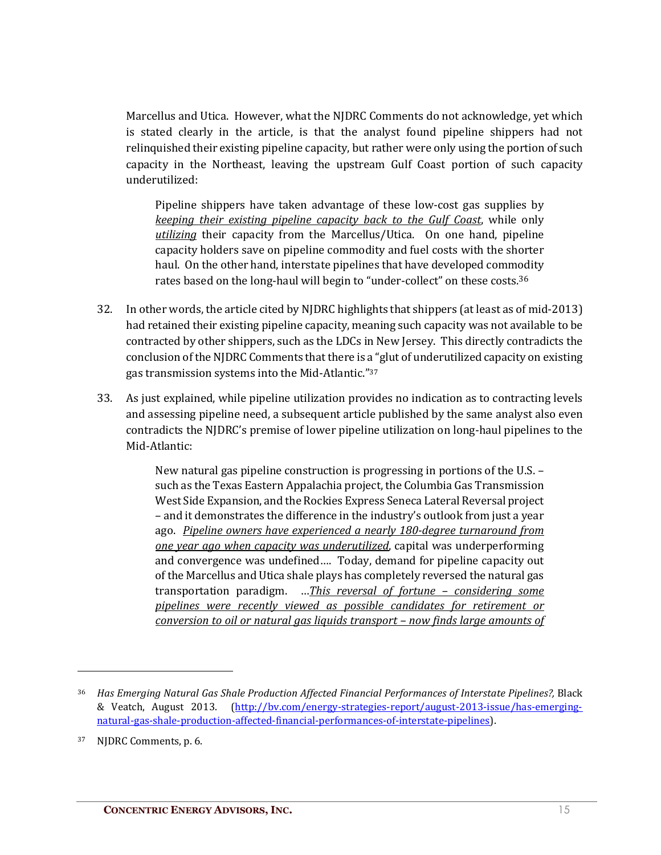Marcellus and Utica. However, what the NJDRC Comments do not acknowledge, yet which is stated clearly in the article, is that the analyst found pipeline shippers had not relinquished their existing pipeline capacity, but rather were only using the portion of such capacity in the Northeast, leaving the upstream Gulf Coast portion of such capacity underutilized:

Pipeline shippers have taken advantage of these low-cost gas supplies by *keeping their existing pipeline capacity back to the Gulf Coast*, while only *utilizing* their capacity from the Marcellus/Utica. On one hand, pipeline capacity holders save on pipeline commodity and fuel costs with the shorter haul. On the other hand, interstate pipelines that have developed commodity rates based on the long-haul will begin to "under-collect" on these costs.<sup>36</sup>

- 32. In other words, the article cited by NJDRC highlights that shippers (at least as of mid-2013) had retained their existing pipeline capacity, meaning such capacity was not available to be contracted by other shippers, such as the LDCs in New Jersey. This directly contradicts the conclusion of the NJDRC Comments that there is a "glut of underutilized capacity on existing gas transmission systems into the Mid-Atlantic."37
- 33. As just explained, while pipeline utilization provides no indication as to contracting levels and assessing pipeline need, a subsequent article published by the same analyst also even contradicts the NJDRC's premise of lower pipeline utilization on long-haul pipelines to the Mid-Atlantic:

New natural gas pipeline construction is progressing in portions of the U.S. – such as the Texas Eastern Appalachia project, the Columbia Gas Transmission West Side Expansion, and the Rockies Express Seneca Lateral Reversal project – and it demonstrates the difference in the industry's outlook from just a year ago. *Pipeline owners have experienced a nearly 180-degree turnaround from one year ago when capacity was underutilized*, capital was underperforming and convergence was undefined…. Today, demand for pipeline capacity out of the Marcellus and Utica shale plays has completely reversed the natural gas transportation paradigm. …*This reversal of fortune – considering some pipelines were recently viewed as possible candidates for retirement or conversion to oil or natural gas liquids transport – now finds large amounts of* 

 $\overline{a}$ 

<sup>&</sup>lt;sup>36</sup> Has Emerging Natural Gas Shale Production Affected Financial Performances of Interstate Pipelines?, Black & Veatch, August 2013. (http://bv.com/energy-strategies-report/august-2013-issue/has-emergingnatural-gas-shale-production-affected-financial-performances-of-interstate-pipelines).

<sup>37</sup> NJDRC Comments, p. 6.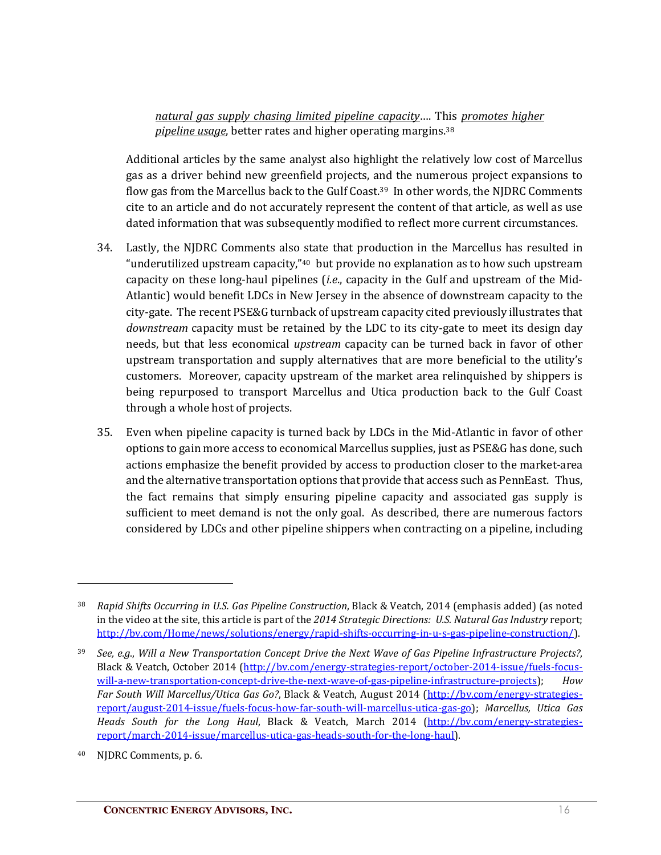*natural gas supply chasing limited pipeline capacity*…. This *promotes higher pipeline usage*, better rates and higher operating margins.38

Additional articles by the same analyst also highlight the relatively low cost of Marcellus gas as a driver behind new greenfield projects, and the numerous project expansions to flow gas from the Marcellus back to the Gulf Coast.<sup>39</sup> In other words, the NJDRC Comments cite to an article and do not accurately represent the content of that article, as well as use dated information that was subsequently modified to reflect more current circumstances.

- 34. Lastly, the NJDRC Comments also state that production in the Marcellus has resulted in "underutilized upstream capacity," $40$  but provide no explanation as to how such upstream capacity on these long-haul pipelines (*i.e*., capacity in the Gulf and upstream of the Mid-Atlantic) would benefit LDCs in New Jersey in the absence of downstream capacity to the city-gate. The recent PSE&G turnback of upstream capacity cited previously illustrates that *downstream* capacity must be retained by the LDC to its city-gate to meet its design day needs, but that less economical *upstream* capacity can be turned back in favor of other upstream transportation and supply alternatives that are more beneficial to the utility's customers. Moreover, capacity upstream of the market area relinquished by shippers is being repurposed to transport Marcellus and Utica production back to the Gulf Coast through a whole host of projects.
- 35. Even when pipeline capacity is turned back by LDCs in the Mid-Atlantic in favor of other options to gain more access to economical Marcellus supplies, just as PSE&G has done, such actions emphasize the benefit provided by access to production closer to the market-area and the alternative transportation options that provide that access such as PennEast. Thus, the fact remains that simply ensuring pipeline capacity and associated gas supply is sufficient to meet demand is not the only goal. As described, there are numerous factors considered by LDCs and other pipeline shippers when contracting on a pipeline, including

<sup>38</sup> *Rapid Shifts Occurring in U.S. Gas Pipeline Construction*, Black & Veatch, 2014 (emphasis added) (as noted in the video at the site, this article is part of the *2014 Strategic Directions: U.S. Natural Gas Industry* report; http://bv.com/Home/news/solutions/energy/rapid-shifts-occurring-in-u-s-gas-pipeline-construction/).

<sup>39</sup> *See, e.g*., *Will a New Transportation Concept Drive the Next Wave of Gas Pipeline Infrastructure Projects?*, Black & Veatch, October 2014 (http://bv.com/energy-strategies-report/october-2014-issue/fuels-focuswill-a-new-transportation-concept-drive-the-next-wave-of-gas-pipeline-infrastructure-projects); *How Far South Will Marcellus/Utica Gas Go?*, Black & Veatch, August 2014 (http://bv.com/energy-strategiesreport/august-2014-issue/fuels-focus-how-far-south-will-marcellus-utica-gas-go); *Marcellus, Utica Gas Heads South for the Long Haul*, Black & Veatch, March 2014 (http://bv.com/energy-strategiesreport/march-2014-issue/marcellus-utica-gas-heads-south-for-the-long-haul).

<sup>40</sup> NJDRC Comments, p. 6.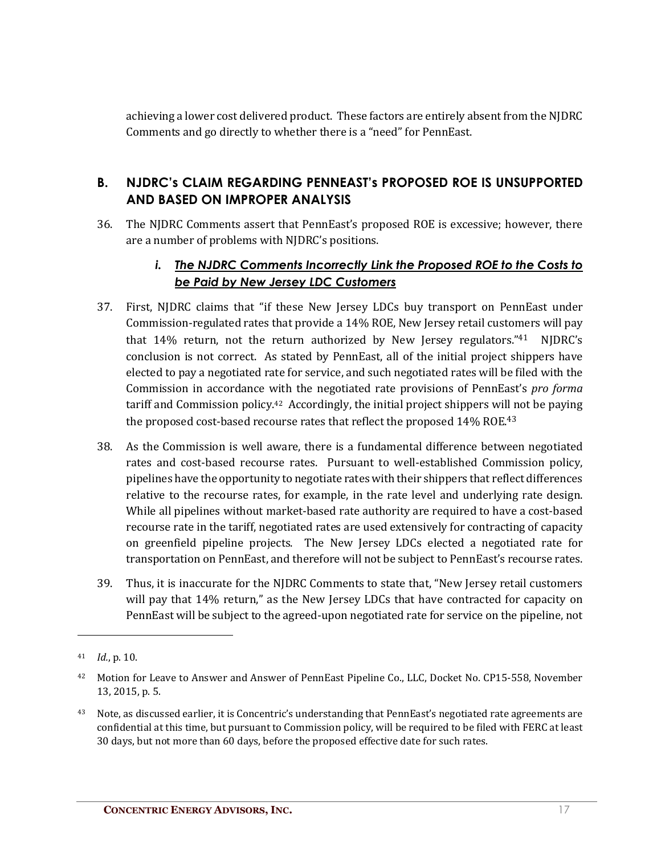achieving a lower cost delivered product. These factors are entirely absent from the NJDRC Comments and go directly to whether there is a "need" for PennEast.

#### **B. NJDRC's CLAIM REGARDING PENNEAST's PROPOSED ROE IS UNSUPPORTED AND BASED ON IMPROPER ANALYSIS**

36. The NJDRC Comments assert that PennEast's proposed ROE is excessive; however, there are a number of problems with NJDRC's positions.

#### *i. The NJDRC Comments Incorrectly Link the Proposed ROE to the Costs to be Paid by New Jersey LDC Customers*

- 37. First, NJDRC claims that "if these New Jersey LDCs buy transport on PennEast under Commission-regulated rates that provide a 14% ROE, New Jersey retail customers will pay that 14% return, not the return authorized by New Jersey regulators."41 NJDRC's conclusion is not correct. As stated by PennEast, all of the initial project shippers have elected to pay a negotiated rate for service, and such negotiated rates will be filed with the Commission in accordance with the negotiated rate provisions of PennEast's *pro forma* tariff and Commission policy.42 Accordingly, the initial project shippers will not be paying the proposed cost-based recourse rates that reflect the proposed 14% ROE.<sup>43</sup>
- 38. As the Commission is well aware, there is a fundamental difference between negotiated rates and cost-based recourse rates. Pursuant to well-established Commission policy, pipelines have the opportunity to negotiate rates with their shippers that reflect differences relative to the recourse rates, for example, in the rate level and underlying rate design. While all pipelines without market-based rate authority are required to have a cost-based recourse rate in the tariff, negotiated rates are used extensively for contracting of capacity on greenfield pipeline projects. The New Jersey LDCs elected a negotiated rate for transportation on PennEast, and therefore will not be subject to PennEast's recourse rates.
- 39. Thus, it is inaccurate for the NJDRC Comments to state that, "New Jersey retail customers will pay that 14% return," as the New Jersey LDCs that have contracted for capacity on PennEast will be subject to the agreed-upon negotiated rate for service on the pipeline, not

<sup>41</sup> *Id.*, p. 10.

<sup>42</sup> Motion for Leave to Answer and Answer of PennEast Pipeline Co., LLC, Docket No. CP15-558, November 13, 2015, p. 5.

<sup>&</sup>lt;sup>43</sup> Note, as discussed earlier, it is Concentric's understanding that PennEast's negotiated rate agreements are confidential at this time, but pursuant to Commission policy, will be required to be filed with FERC at least 30 days, but not more than 60 days, before the proposed effective date for such rates.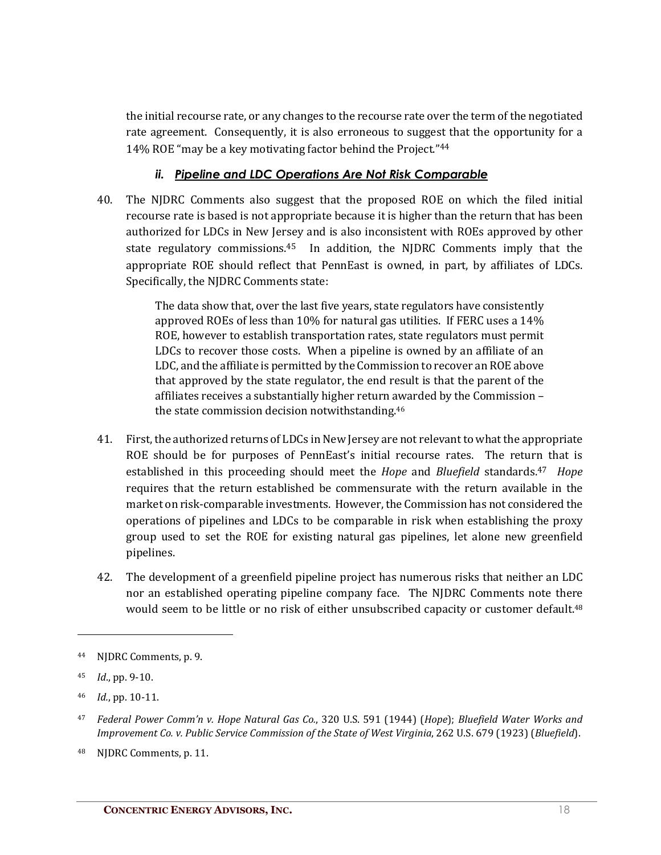the initial recourse rate, or any changes to the recourse rate over the term of the negotiated rate agreement. Consequently, it is also erroneous to suggest that the opportunity for a 14% ROE "may be a key motivating factor behind the Project."44

#### *ii. Pipeline and LDC Operations Are Not Risk Comparable*

40. The NJDRC Comments also suggest that the proposed ROE on which the filed initial recourse rate is based is not appropriate because it is higher than the return that has been authorized for LDCs in New Jersey and is also inconsistent with ROEs approved by other state regulatory commissions.<sup>45</sup> In addition, the NJDRC Comments imply that the appropriate ROE should reflect that PennEast is owned, in part, by affiliates of LDCs. Specifically, the NJDRC Comments state:

> The data show that, over the last five years, state regulators have consistently approved ROEs of less than 10% for natural gas utilities. If FERC uses a 14% ROE, however to establish transportation rates, state regulators must permit LDCs to recover those costs. When a pipeline is owned by an affiliate of an LDC, and the affiliate is permitted by the Commission to recover an ROE above that approved by the state regulator, the end result is that the parent of the affiliates receives a substantially higher return awarded by the Commission – the state commission decision notwithstanding.46

- 41. First, the authorized returns of LDCs in New Jersey are not relevant to what the appropriate ROE should be for purposes of PennEast's initial recourse rates. The return that is established in this proceeding should meet the *Hope* and *Bluefield* standards.47 *Hope* requires that the return established be commensurate with the return available in the market on risk-comparable investments. However, the Commission has not considered the operations of pipelines and LDCs to be comparable in risk when establishing the proxy group used to set the ROE for existing natural gas pipelines, let alone new greenfield pipelines.
- 42. The development of a greenfield pipeline project has numerous risks that neither an LDC nor an established operating pipeline company face. The NJDRC Comments note there would seem to be little or no risk of either unsubscribed capacity or customer default.<sup>48</sup>

<sup>44</sup> NJDRC Comments, p. 9.

<sup>45</sup> *Id*., pp. 9-10.

<sup>46</sup> *Id.*, pp. 10-11.

<sup>47</sup> *Federal Power Comm'n v. Hope Natural Gas Co.*, 320 U.S. 591 (1944) (*Hope*); *Bluefield Water Works and Improvement Co. v. Public Service Commission of the State of West Virginia*, 262 U.S. 679 (1923) (*Bluefield*).

<sup>48</sup> NJDRC Comments, p. 11.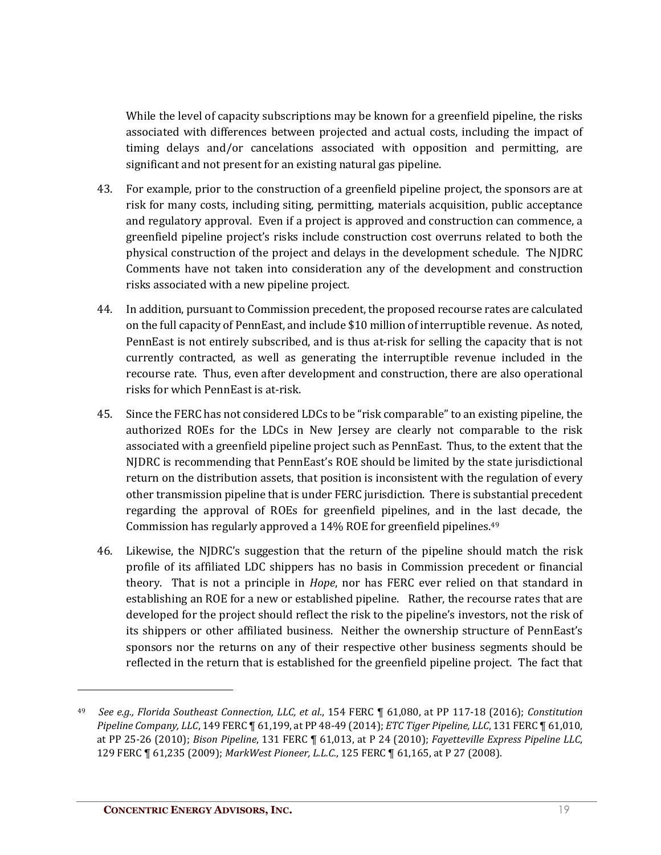While the level of capacity subscriptions may be known for a greenfield pipeline, the risks associated with differences between projected and actual costs, including the impact of timing delays and/or cancelations associated with opposition and permitting, are significant and not present for an existing natural gas pipeline.

- 43. For example, prior to the construction of a greenfield pipeline project, the sponsors are at risk for many costs, including siting, permitting, materials acquisition, public acceptance and regulatory approval. Even if a project is approved and construction can commence, a greenfield pipeline project's risks include construction cost overruns related to both the physical construction of the project and delays in the development schedule. The NJDRC Comments have not taken into consideration any of the development and construction risks associated with a new pipeline project.
- 44. In addition, pursuant to Commission precedent, the proposed recourse rates are calculated on the full capacity of PennEast, and include \$10 million of interruptible revenue. As noted, PennEast is not entirely subscribed, and is thus at-risk for selling the capacity that is not currently contracted, as well as generating the interruptible revenue included in the recourse rate. Thus, even after development and construction, there are also operational risks for which PennEast is at-risk.
- 45. Since the FERC has not considered LDCs to be "risk comparable" to an existing pipeline, the authorized ROEs for the LDCs in New Jersey are clearly not comparable to the risk associated with a greenfield pipeline project such as PennEast. Thus, to the extent that the NJDRC is recommending that PennEast's ROE should be limited by the state jurisdictional return on the distribution assets, that position is inconsistent with the regulation of every other transmission pipeline that is under FERC jurisdiction. There is substantial precedent regarding the approval of ROEs for greenfield pipelines, and in the last decade, the Commission has regularly approved a 14% ROE for greenfield pipelines.49
- 46. Likewise, the NJDRC's suggestion that the return of the pipeline should match the risk profile of its affiliated LDC shippers has no basis in Commission precedent or financial theory. That is not a principle in *Hope*, nor has FERC ever relied on that standard in establishing an ROE for a new or established pipeline. Rather, the recourse rates that are developed for the project should reflect the risk to the pipeline's investors, not the risk of its shippers or other affiliated business. Neither the ownership structure of PennEast's sponsors nor the returns on any of their respective other business segments should be reflected in the return that is established for the greenfield pipeline project. The fact that

<sup>49</sup> *See e.g., Florida Southeast Connection, LLC, et al.*, 154 FERC ¶ 61,080, at PP 117-18 (2016); *Constitution Pipeline Company, LLC*, 149 FERC ¶ 61,199, at PP 48-49 (2014); *ETC Tiger Pipeline, LLC*, 131 FERC ¶ 61,010, at PP 25-26 (2010); *Bison Pipeline*, 131 FERC ¶ 61,013, at P 24 (2010); *Fayetteville Express Pipeline LLC*, 129 FERC ¶ 61,235 (2009); *MarkWest Pioneer, L.L.C.*, 125 FERC ¶ 61,165, at P 27 (2008).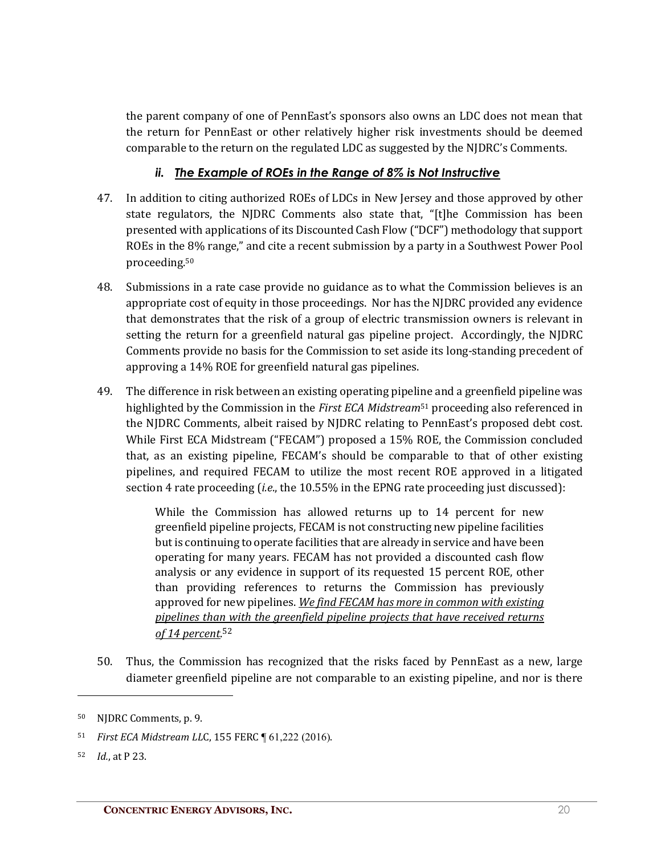the parent company of one of PennEast's sponsors also owns an LDC does not mean that the return for PennEast or other relatively higher risk investments should be deemed comparable to the return on the regulated LDC as suggested by the NJDRC's Comments.

#### *ii. The Example of ROEs in the Range of 8% is Not Instructive*

- 47. In addition to citing authorized ROEs of LDCs in New Jersey and those approved by other state regulators, the NJDRC Comments also state that, "[t]he Commission has been presented with applications of its Discounted Cash Flow ("DCF") methodology that support ROEs in the 8% range," and cite a recent submission by a party in a Southwest Power Pool proceeding. 50
- 48. Submissions in a rate case provide no guidance as to what the Commission believes is an appropriate cost of equity in those proceedings. Nor has the NJDRC provided any evidence that demonstrates that the risk of a group of electric transmission owners is relevant in setting the return for a greenfield natural gas pipeline project. Accordingly, the NJDRC Comments provide no basis for the Commission to set aside its long-standing precedent of approving a 14% ROE for greenfield natural gas pipelines.
- 49. The difference in risk between an existing operating pipeline and a greenfield pipeline was highlighted by the Commission in the *First ECA Midstream*<sup>51</sup> proceeding also referenced in the NJDRC Comments, albeit raised by NJDRC relating to PennEast's proposed debt cost. While First ECA Midstream ("FECAM") proposed a 15% ROE, the Commission concluded that, as an existing pipeline, FECAM's should be comparable to that of other existing pipelines, and required FECAM to utilize the most recent ROE approved in a litigated section 4 rate proceeding (*i.e*., the 10.55% in the EPNG rate proceeding just discussed):

While the Commission has allowed returns up to 14 percent for new greenfield pipeline projects, FECAM is not constructing new pipeline facilities but is continuing to operate facilities that are already in service and have been operating for many years. FECAM has not provided a discounted cash flow analysis or any evidence in support of its requested 15 percent ROE, other than providing references to returns the Commission has previously approved for new pipelines. *We find FECAM has more in common with existing pipelines than with the greenfield pipeline projects that have received returns of 14 percent*. 52

50. Thus, the Commission has recognized that the risks faced by PennEast as a new, large diameter greenfield pipeline are not comparable to an existing pipeline, and nor is there

 $\overline{a}$ 

<sup>50</sup> NJDRC Comments, p. 9.

<sup>51</sup> *First ECA Midstream LL*C, 155 FERC ¶ 61,222 (2016).

<sup>52</sup> *Id.*, at P 23.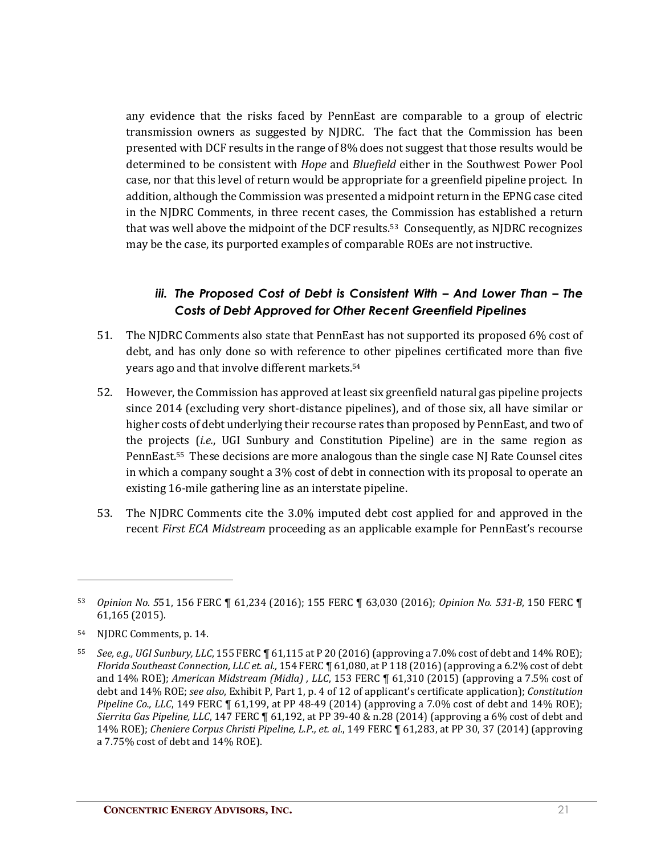any evidence that the risks faced by PennEast are comparable to a group of electric transmission owners as suggested by NJDRC. The fact that the Commission has been presented with DCF results in the range of 8% does not suggest that those results would be determined to be consistent with *Hope* and *Bluefield* either in the Southwest Power Pool case, nor that this level of return would be appropriate for a greenfield pipeline project. In addition, although the Commission was presented a midpoint return in the EPNG case cited in the NJDRC Comments, in three recent cases, the Commission has established a return that was well above the midpoint of the DCF results.53 Consequently, as NJDRC recognizes may be the case, its purported examples of comparable ROEs are not instructive.

#### *iii. The Proposed Cost of Debt is Consistent With – And Lower Than – The Costs of Debt Approved for Other Recent Greenfield Pipelines*

- 51. The NJDRC Comments also state that PennEast has not supported its proposed 6% cost of debt, and has only done so with reference to other pipelines certificated more than five years ago and that involve different markets.54
- 52. However, the Commission has approved at least six greenfield natural gas pipeline projects since 2014 (excluding very short-distance pipelines), and of those six, all have similar or higher costs of debt underlying their recourse rates than proposed by PennEast, and two of the projects (*i.e.*, UGI Sunbury and Constitution Pipeline) are in the same region as PennEast. <sup>55</sup> These decisions are more analogous than the single case NJ Rate Counsel cites in which a company sought a 3% cost of debt in connection with its proposal to operate an existing 16-mile gathering line as an interstate pipeline.
- 53. The NJDRC Comments cite the 3.0% imputed debt cost applied for and approved in the recent *First ECA Midstream* proceeding as an applicable example for PennEast's recourse

 $\overline{a}$ 

<sup>53</sup> *Opinion No. 5*51, 156 FERC ¶ 61,234 (2016); 155 FERC ¶ 63,030 (2016); *Opinion No. 531-B*, 150 FERC ¶ 61,165 (2015).

<sup>54</sup> NJDRC Comments, p. 14.

<sup>55</sup> *See, e.g., UGI Sunbury, LLC*, 155 FERC ¶ 61,115 at P 20 (2016) (approving a 7.0% cost of debt and 14% ROE); *Florida Southeast Connection, LLC et. al.,* 154 FERC ¶ 61,080, at P 118 (2016) (approving a 6.2% cost of debt and 14% ROE); *American Midstream (Midla) , LLC*, 153 FERC ¶ 61,310 (2015) (approving a 7.5% cost of debt and 14% ROE; *see also*, Exhibit P, Part 1, p. 4 of 12 of applicant's certificate application); *Constitution Pipeline Co., LLC*, 149 FERC  $\P$  61,199, at PP 48-49 (2014) (approving a 7.0% cost of debt and 14% ROE); *Sierrita Gas Pipeline, LLC*, 147 FERC ¶ 61,192, at PP 39-40 & n.28 (2014) (approving a 6% cost of debt and 14% ROE); *Cheniere Corpus Christi Pipeline, L.P., et. al.*, 149 FERC ¶ 61,283, at PP 30, 37 (2014) (approving a 7.75% cost of debt and 14% ROE).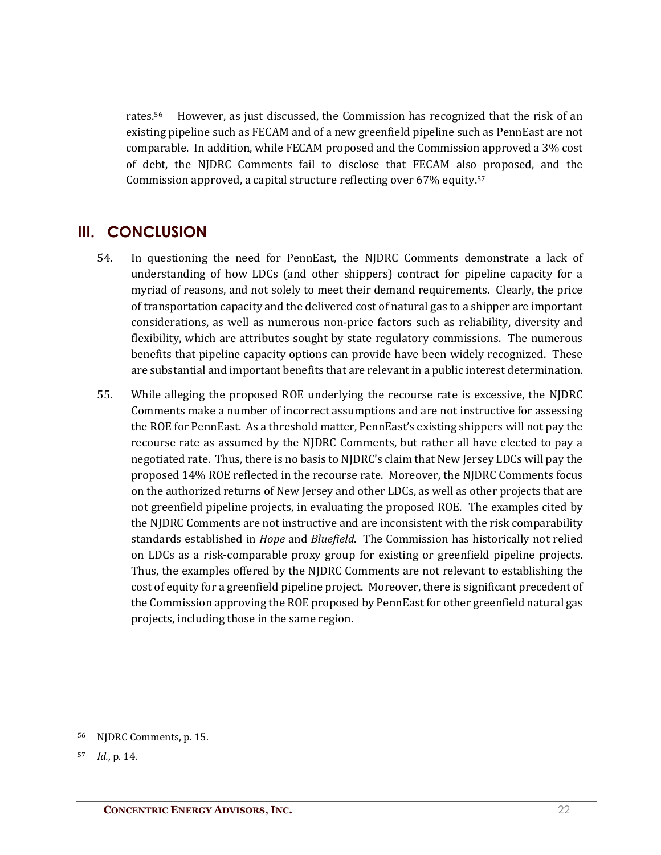rates.56 However, as just discussed, the Commission has recognized that the risk of an existing pipeline such as FECAM and of a new greenfield pipeline such as PennEast are not comparable. In addition, while FECAM proposed and the Commission approved a 3% cost of debt, the NJDRC Comments fail to disclose that FECAM also proposed, and the Commission approved, a capital structure reflecting over 67% equity. 57

### **III. CONCLUSION**

- 54. In questioning the need for PennEast, the NJDRC Comments demonstrate a lack of understanding of how LDCs (and other shippers) contract for pipeline capacity for a myriad of reasons, and not solely to meet their demand requirements. Clearly, the price of transportation capacity and the delivered cost of natural gas to a shipper are important considerations, as well as numerous non-price factors such as reliability, diversity and flexibility, which are attributes sought by state regulatory commissions. The numerous benefits that pipeline capacity options can provide have been widely recognized. These are substantial and important benefits that are relevant in a public interest determination.
- 55. While alleging the proposed ROE underlying the recourse rate is excessive, the NJDRC Comments make a number of incorrect assumptions and are not instructive for assessing the ROE for PennEast. As a threshold matter, PennEast's existing shippers will not pay the recourse rate as assumed by the NJDRC Comments, but rather all have elected to pay a negotiated rate. Thus, there is no basis to NJDRC's claim that New Jersey LDCs will pay the proposed 14% ROE reflected in the recourse rate. Moreover, the NJDRC Comments focus on the authorized returns of New Jersey and other LDCs, as well as other projects that are not greenfield pipeline projects, in evaluating the proposed ROE. The examples cited by the NJDRC Comments are not instructive and are inconsistent with the risk comparability standards established in *Hope* and *Bluefield*. The Commission has historically not relied on LDCs as a risk-comparable proxy group for existing or greenfield pipeline projects. Thus, the examples offered by the NJDRC Comments are not relevant to establishing the cost of equity for a greenfield pipeline project. Moreover, there is significant precedent of the Commission approving the ROE proposed by PennEast for other greenfield natural gas projects, including those in the same region.

<sup>56</sup> NJDRC Comments, p. 15.

<sup>57</sup> *Id.*, p. 14.